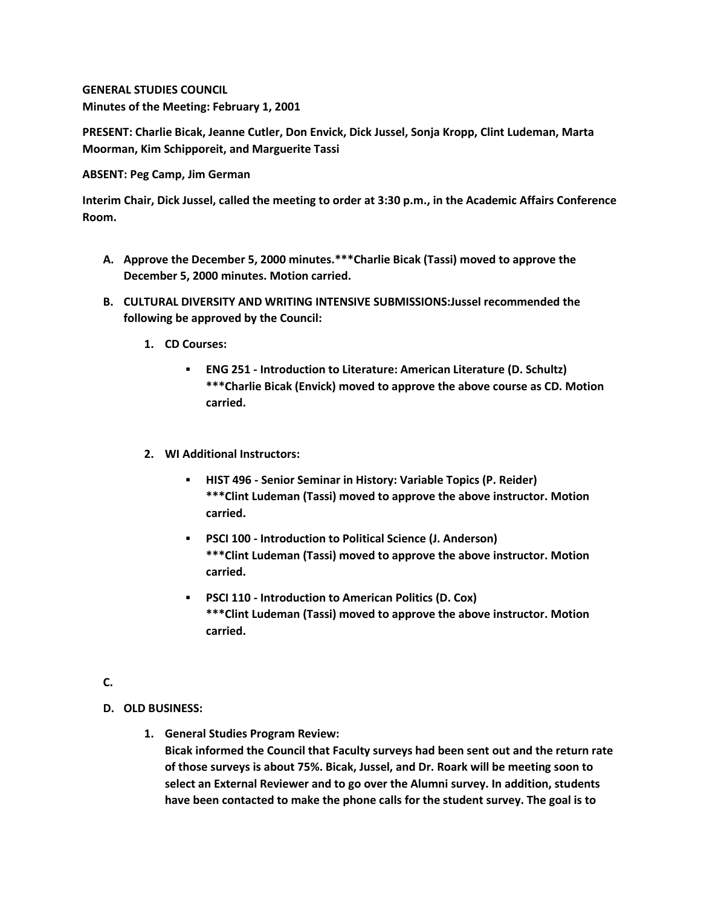**GENERAL STUDIES COUNCIL Minutes of the Meeting: February 1, 2001**

**PRESENT: Charlie Bicak, Jeanne Cutler, Don Envick, Dick Jussel, Sonja Kropp, Clint Ludeman, Marta Moorman, Kim Schipporeit, and Marguerite Tassi**

## **ABSENT: Peg Camp, Jim German**

**Interim Chair, Dick Jussel, called the meeting to order at 3:30 p.m., in the Academic Affairs Conference Room.**

- **A. Approve the December 5, 2000 minutes.\*\*\*Charlie Bicak (Tassi) moved to approve the December 5, 2000 minutes. Motion carried.**
- **B. CULTURAL DIVERSITY AND WRITING INTENSIVE SUBMISSIONS:Jussel recommended the following be approved by the Council:** 
	- **1. CD Courses:** 
		- **ENG 251 - Introduction to Literature: American Literature (D. Schultz) \*\*\*Charlie Bicak (Envick) moved to approve the above course as CD. Motion carried.**
	- **2. WI Additional Instructors:** 
		- **HIST 496 - Senior Seminar in History: Variable Topics (P. Reider) \*\*\*Clint Ludeman (Tassi) moved to approve the above instructor. Motion carried.**
		- **PSCI 100 - Introduction to Political Science (J. Anderson) \*\*\*Clint Ludeman (Tassi) moved to approve the above instructor. Motion carried.**
		- **PSCI 110 - Introduction to American Politics (D. Cox) \*\*\*Clint Ludeman (Tassi) moved to approve the above instructor. Motion carried.**

## **C.**

- **D. OLD BUSINESS:**
	- **1. General Studies Program Review: Bicak informed the Council that Faculty surveys had been sent out and the return rate of those surveys is about 75%. Bicak, Jussel, and Dr. Roark will be meeting soon to select an External Reviewer and to go over the Alumni survey. In addition, students have been contacted to make the phone calls for the student survey. The goal is to**